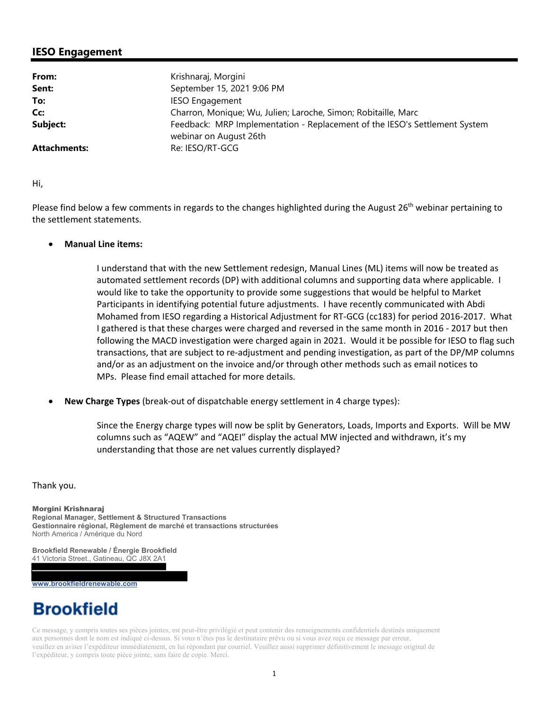## **IESO Engagement**

| From:        | Krishnaraj, Morgini                                                                                  |
|--------------|------------------------------------------------------------------------------------------------------|
| Sent:        | September 15, 2021 9:06 PM                                                                           |
| To:          | <b>IESO Engagement</b>                                                                               |
| Cc:          | Charron, Monique; Wu, Julien; Laroche, Simon; Robitaille, Marc                                       |
| Subject:     | Feedback: MRP Implementation - Replacement of the IESO's Settlement System<br>webinar on August 26th |
| Attachments: | Re: IESO/RT-GCG                                                                                      |

Hi,

Please find below a few comments in regards to the changes highlighted during the August 26<sup>th</sup> webinar pertaining to the settlement statements.

## **Manual Line items:**

 I understand that with the new Settlement redesign, Manual Lines (ML) items will now be treated as automated settlement records (DP) with additional columns and supporting data where applicable. I would like to take the opportunity to provide some suggestions that would be helpful to Market Participants in identifying potential future adjustments. I have recently communicated with Abdi Mohamed from IESO regarding a Historical Adjustment for RT‐GCG (cc183) for period 2016‐2017. What I gathered is that these charges were charged and reversed in the same month in 2016 ‐ 2017 but then following the MACD investigation were charged again in 2021. Would it be possible for IESO to flag such transactions, that are subject to re‐adjustment and pending investigation, as part of the DP/MP columns and/or as an adjustment on the invoice and/or through other methods such as email notices to MPs. Please find email attached for more details.

 **New Charge Types** (break‐out of dispatchable energy settlement in 4 charge types):

 Since the Energy charge types will now be split by Generators, Loads, Imports and Exports. Will be MW columns such as "AQEW" and "AQEI" display the actual MW injected and withdrawn, it's my understanding that those are net values currently displayed?

Thank you.

Morgini Krishnaraj **Regional Manager, Settlement & Structured Transactions Gestionnaire régional, Règlement de marché et transactions structurées**  North America / Amérique du Nord

**Brookfield Renewable / Énergie Brookfield** 41 Victoria Street., Gatineau, QC J8X 2A1

**www.brookfieldrenewable.com** 

## **Brookfield**

Ce message, y compris toutes ses pièces jointes, est peut-être privilégié et peut contenir des renseignements confidentiels destinés uniquement aux personnes dont le nom est indiqué ci-dessus. Si vous n'êtes pas le destinataire prévu ou si vous avez reçu ce message par erreur, veuillez en aviser l'expéditeur immédiatement, en lui répondant par courriel. Veuillez aussi supprimer définitivement le message original de l'expéditeur, y compris toute pièce jointe, sans faire de copie. Merci.